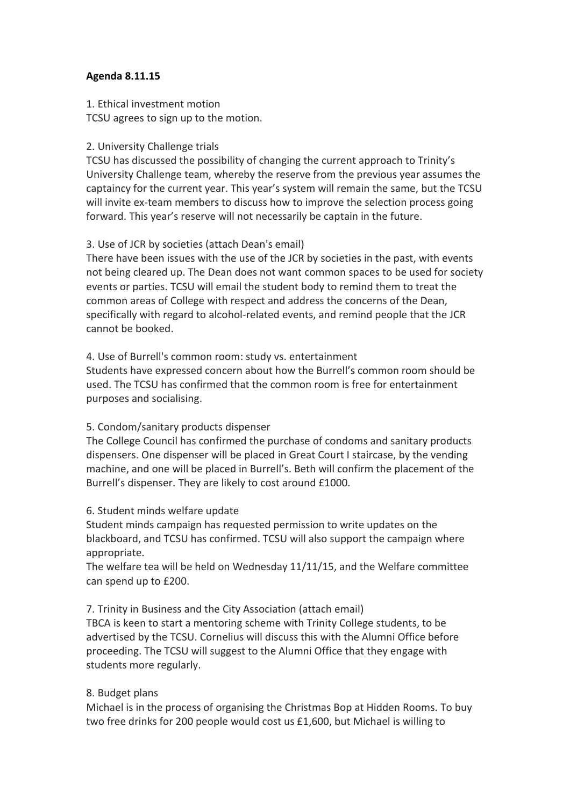## **Agenda 8.11.15**

1. Ethical investment motion

# TCSU agrees to sign up to the motion.

# 2. University Challenge trials

TCSU has discussed the possibility of changing the current approach to Trinity's University Challenge team, whereby the reserve from the previous year assumes the captaincy for the current year. This year's system will remain the same, but the TCSU will invite ex-team members to discuss how to improve the selection process going forward. This year's reserve will not necessarily be captain in the future.

# 3. Use of JCR by societies (attach Dean's email)

There have been issues with the use of the JCR by societies in the past, with events not being cleared up. The Dean does not want common spaces to be used for society events or parties. TCSU will email the student body to remind them to treat the common areas of College with respect and address the concerns of the Dean, specifically with regard to alcohol-related events, and remind people that the JCR cannot be booked.

# 4. Use of Burrell's common room: study vs. entertainment

Students have expressed concern about how the Burrell's common room should be used. The TCSU has confirmed that the common room is free for entertainment purposes and socialising.

# 5. Condom/sanitary products dispenser

The College Council has confirmed the purchase of condoms and sanitary products dispensers. One dispenser will be placed in Great Court I staircase, by the vending machine, and one will be placed in Burrell's. Beth will confirm the placement of the Burrell's dispenser. They are likely to cost around £1000.

# 6. Student minds welfare update

Student minds campaign has requested permission to write updates on the blackboard, and TCSU has confirmed. TCSU will also support the campaign where appropriate.

The welfare tea will be held on Wednesday 11/11/15, and the Welfare committee can spend up to £200.

# 7. Trinity in Business and the City Association (attach email)

TBCA is keen to start a mentoring scheme with Trinity College students, to be advertised by the TCSU. Cornelius will discuss this with the Alumni Office before proceeding. The TCSU will suggest to the Alumni Office that they engage with students more regularly.

# 8. Budget plans

Michael is in the process of organising the Christmas Bop at Hidden Rooms. To buy two free drinks for 200 people would cost us £1,600, but Michael is willing to